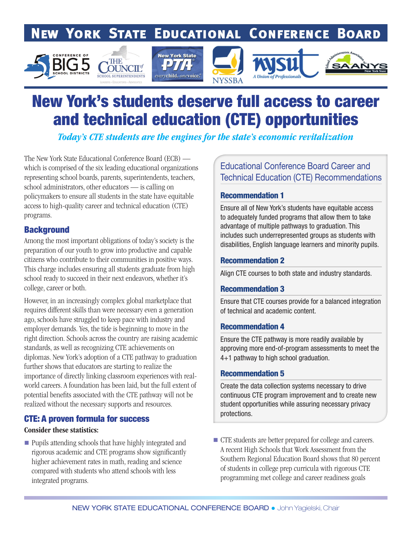# **NEW YORK STATE EDUCATIONAL CONFERENCE BOARD**











# New York's students deserve full access to career and technical education (CTE) opportunities

*Today's CTE students are the engines for the state's economic revitalization* 

The New York State Educational Conference Board (ECB) which is comprised of the six leading educational organizations representing school boards, parents, superintendents, teachers, school administrators, other educators — is calling on policymakers to ensure all students in the state have equitable access to high-quality career and technical education (CTE) programs.

## **Background**

Among the most important obligations of today's society is the preparation of our youth to grow into productive and capable citizens who contribute to their communities in positive ways. This charge includes ensuring all students graduate from high school ready to succeed in their next endeavors, whether it's college, career or both.

However, in an increasingly complex global marketplace that requires different skills than were necessary even a generation ago, schools have struggled to keep pace with industry and employer demands. Yes, the tide is beginning to move in the right direction. Schools across the country are raising academic standards, as well as recognizing CTE achievements on diplomas. New York's adoption of a CTE pathway to graduation further shows that educators are starting to realize the importance of directly linking classroom experiences with realworld careers. A foundation has been laid, but the full extent of potential benefits associated with the CTE pathway will not be realized without the necessary supports and resources.

## CTE: A proven formula for success

#### Consider these statistics:

■ Pupils attending schools that have highly integrated and rigorous academic and CTE programs show significantly higher achievement rates in math, reading and science compared with students who attend schools with less integrated programs.

## Educational Conference Board Career and Technical Education (CTE) Recommendations

#### Recommendation 1

Ensure all of New York's students have equitable access to adequately funded programs that allow them to take advantage of multiple pathways to graduation. This includes such underrepresented groups as students with disabilities, English language learners and minority pupils.

### Recommendation 2

Align CTE courses to both state and industry standards.

#### Recommendation 3

Ensure that CTE courses provide for a balanced integration of technical and academic content.

#### Recommendation 4

Ensure the CTE pathway is more readily available by approving more end-of-program assessments to meet the 4+1 pathway to high school graduation.

#### Recommendation 5

Create the data collection systems necessary to drive continuous CTE program improvement and to create new student opportunities while assuring necessary privacy protections.

 CTE students are better prepared for college and careers. A recent High Schools that Work Assessment from the Southern Regional Education Board shows that 80 percent of students in college prep curricula with rigorous CTE programming met college and career readiness goals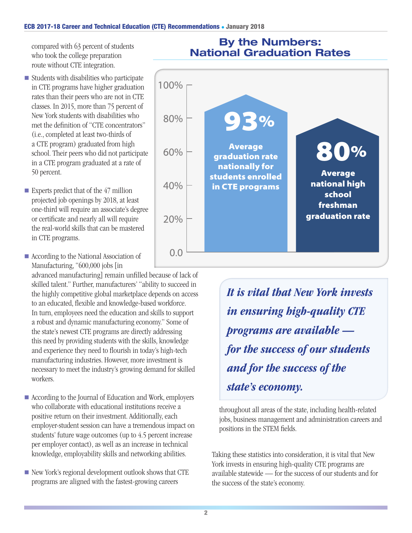#### ECB 2017-18 Career and Technical Education (CTE) Recommendations . January 2018

compared with 63 percent of students who took the college preparation route without CTE integration.

- $\blacksquare$  Students with disabilities who participate in CTE programs have higher graduation rates than their peers who are not in CTE classes. In 2015, more than 75 percent of New York students with disabilities who met the definition of "CTE concentrators" (i.e., completed at least two-thirds of a CTE program) graduated from high school. Their peers who did not participate in a CTE program graduated at a rate of 50 percent.
- Experts predict that of the  $47$  million projected job openings by 2018, at least one-third will require an associate's degree or certificate and nearly all will require the real-world skills that can be mastered in CTE programs.
- According to the National Association of Manufacturing, "600,000 jobs [in

advanced manufacturing] remain unfilled because of lack of skilled talent." Further, manufacturers' "ability to succeed in the highly competitive global marketplace depends on access to an educated, flexible and knowledge-based workforce. In turn, employees need the education and skills to support a robust and dynamic manufacturing economy." Some of the state's newest CTE programs are directly addressing this need by providing students with the skills, knowledge and experience they need to flourish in today's high-tech manufacturing industries. However, more investment is necessary to meet the industry's growing demand for skilled workers.

- According to the Journal of Education and Work, employers who collaborate with educational institutions receive a positive return on their investment. Additionally, each employer-student session can have a tremendous impact on students' future wage outcomes (up to 4.5 percent increase per employer contact), as well as an increase in technical knowledge, employability skills and networking abilities.
- $\blacksquare$  New York's regional development outlook shows that CTE programs are aligned with the fastest-growing careers

# By the Numbers: National Graduation Rates



 *It is vital that New York invests in ensuring high-quality CTE programs are available for the success of our students and for the success of the state's economy.*

throughout all areas of the state, including health-related jobs, business management and administration careers and positions in the STEM fields.

Taking these statistics into consideration, it is vital that New York invests in ensuring high-quality CTE programs are available statewide — for the success of our students and for the success of the state's economy.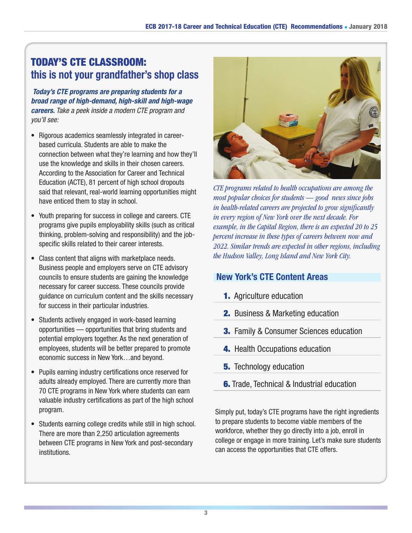# TODAY'S CTE CLASSROOM: this is not your grandfather's shop class

*Today's CTE programs are preparing students for a broad range of high-demand, high-skill and high-wage careers. Take a peek inside a modern CTE program and you'll see:*

- Rigorous academics seamlessly integrated in careerbased curricula. Students are able to make the connection between what they're learning and how they'll use the knowledge and skills in their chosen careers. According to the Association for Career and Technical Education (ACTE), 81 percent of high school dropouts said that relevant, real-world learning opportunities might have enticed them to stay in school.
- Youth preparing for success in college and careers. CTE programs give pupils employability skills (such as critical thinking, problem-solving and responsibility) and the jobspecific skills related to their career interests.
- Class content that aligns with marketplace needs. Business people and employers serve on CTE advisory councils to ensure students are gaining the knowledge necessary for career success. These councils provide guidance on curriculum content and the skills necessary for success in their particular industries.
- Students actively engaged in work-based learning opportunities — opportunities that bring students and potential employers together. As the next generation of employees, students will be better prepared to promote economic success in New York…and beyond.
- Pupils earning industry certifications once reserved for adults already employed. There are currently more than 70 CTE programs in New York where students can earn valuable industry certifications as part of the high school program.
- Students earning college credits while still in high school. There are more than 2,250 articulation agreements between CTE programs in New York and post-secondary institutions.



*CTE programs related to health occupations are among the most popular choices for students — good news since jobs in health-related careers are projected to grow significantly in every region of New York over the next decade. For example, in the Capital Region, there is an expected 20 to 25 percent increase in these types of careers between now and 2022. Similar trends are expected in other regions, including the Hudson Valley, Long Island and New York City.*

## New York's CTE Content Areas

- **1.** Agriculture education
- **2.** Business & Marketing education
- **3.** Family & Consumer Sciences education
- 4. Health Occupations education
- **5.** Technology education
- **6.** Trade, Technical & Industrial education

Simply put, today's CTE programs have the right ingredients to prepare students to become viable members of the workforce, whether they go directly into a job, enroll in college or engage in more training. Let's make sure students can access the opportunities that CTE offers.